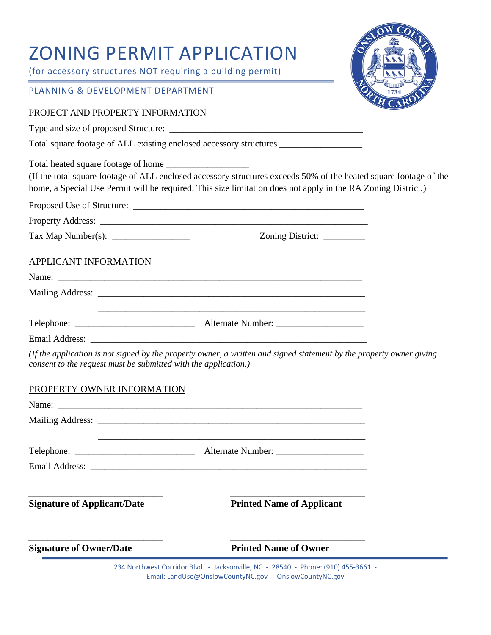# ZONING PERMIT APPLICATION

(for accessory structures NOT requiring a building permit)

#### PLANNING & DEVELOPMENT DEPARTMENT

#### PROJECT AND PROPERTY INFORMATION

Type and size of proposed Structure: \_\_\_\_\_\_\_\_\_\_\_\_\_\_\_\_\_\_\_\_\_\_\_\_\_\_\_\_\_\_\_\_\_\_\_\_\_\_\_\_\_\_

Total square footage of ALL existing enclosed accessory structures \_\_\_\_\_\_\_\_\_\_\_\_\_\_

Total heated square footage of home

(If the total square footage of ALL enclosed accessory structures exceeds 50% of the heated square footage of the home, a Special Use Permit will be required. This size limitation does not apply in the RA Zoning District.)

| Proposed Use of Structure: |
|----------------------------|
|                            |

Property Address: \_\_\_\_\_\_\_\_\_\_\_\_\_\_\_\_\_\_\_\_\_\_\_\_\_\_\_\_\_\_\_\_\_\_\_\_\_\_\_\_\_\_\_\_\_\_\_\_\_\_\_\_\_\_\_\_\_\_

Tax Map Number(s): \_\_\_\_\_\_\_\_\_\_\_\_\_\_\_\_\_ Zoning District: \_\_\_\_\_\_\_\_\_

#### APPLICANT INFORMATION

| $\text{Telephone:}\n\quad \text{________}$ | Alternate Number: |  |
|--------------------------------------------|-------------------|--|
| <b>Email Address:</b>                      |                   |  |

*(If the application is not signed by the property owner, a written and signed statement by the property owner giving consent to the request must be submitted with the application.)* 

# PROPERTY OWNER INFORMATION

| $\text{Telephone: }$               |                                                                                   |
|------------------------------------|-----------------------------------------------------------------------------------|
|                                    |                                                                                   |
| <b>Signature of Applicant/Date</b> | <b>Printed Name of Applicant</b>                                                  |
| <b>Signature of Owner/Date</b>     | <b>Printed Name of Owner</b>                                                      |
|                                    | 234 Northwest Corridor Blvd. - Jacksonville, NC - 28540 - Phone: (910) 455-3661 - |

Email: LandUse@OnslowCountyNC.gov - OnslowCountyNC.gov

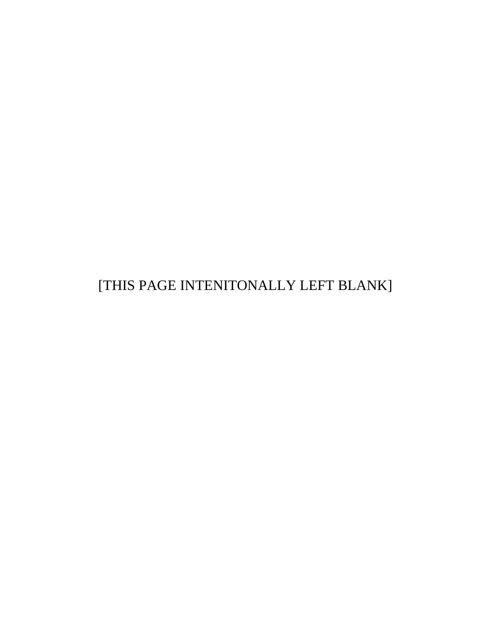[THIS PAGE INTENITONALLY LEFT BLANK]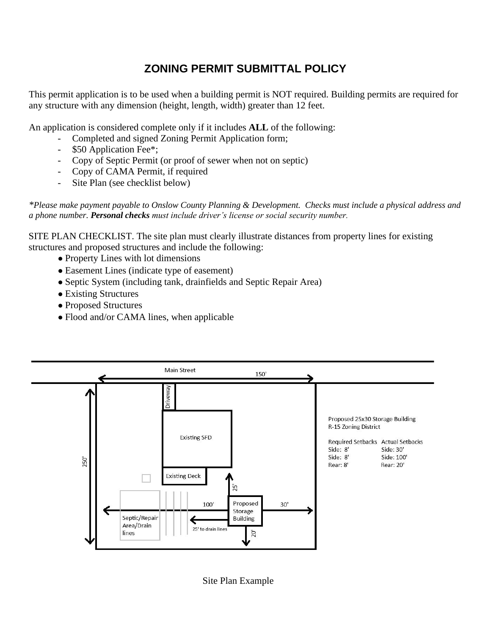# **ZONING PERMIT SUBMITTAL POLICY**

This permit application is to be used when a building permit is NOT required. Building permits are required for any structure with any dimension (height, length, width) greater than 12 feet.

An application is considered complete only if it includes **ALL** of the following:

- Completed and signed Zoning Permit Application form;
- \$50 Application Fee\*;
- Copy of Septic Permit (or proof of sewer when not on septic)
- Copy of CAMA Permit, if required
- Site Plan (see checklist below)

*\*Please make payment payable to Onslow County Planning & Development. Checks must include a physical address and a phone number. Personal checks must include driver's license or social security number.* 

SITE PLAN CHECKLIST. The site plan must clearly illustrate distances from property lines for existing structures and proposed structures and include the following:

- Property Lines with lot dimensions
- Easement Lines (indicate type of easement)
- Septic System (including tank, drainfields and Septic Repair Area)
- Existing Structures
- Proposed Structures
- Flood and/or CAMA lines, when applicable



Site Plan Example